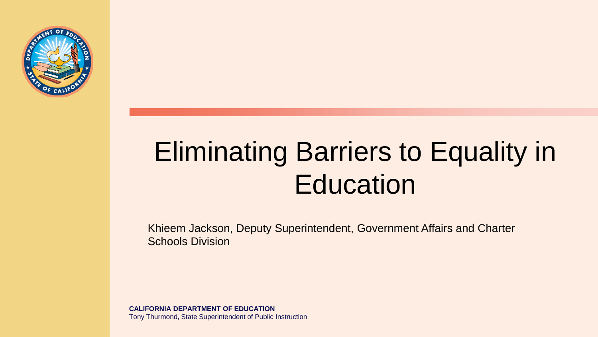

### Eliminating Barriers to Equality in **Education**

Khieem Jackson, Deputy Superintendent, Government Affairs and Charter Schools Division

**CALIFORNIA DEPARTMENT OF EDUCATION** Tony Thurmond, State Superintendent of Public Instruction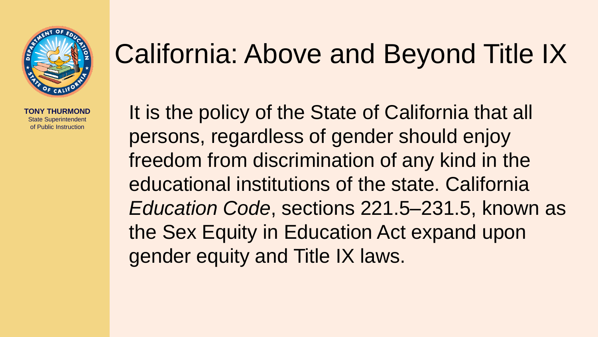

#### California: Above and Beyond Title IX

It is the policy of the State of California that all persons, regardless of gender should enjoy freedom from discrimination of any kind in the educational institutions of the state. California *Education Code*, sections 221.5–231.5, known as the Sex Equity in Education Act expand upon gender equity and Title IX laws.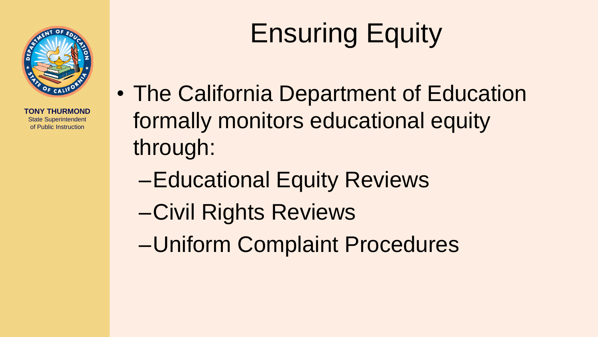

# Ensuring Equity

- The California Department of Education formally monitors educational equity through:
	- –Educational Equity Reviews
	- –Civil Rights Reviews
	- –Uniform Complaint Procedures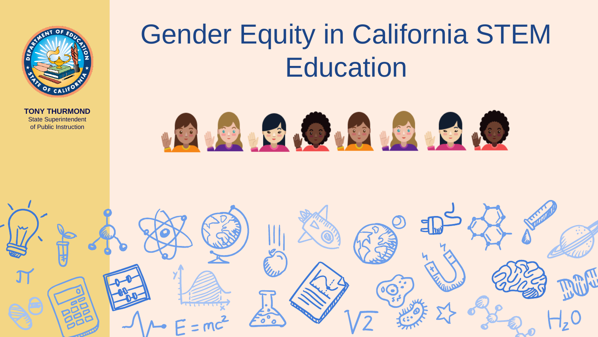

### Gender Equity in California STEM **Education**



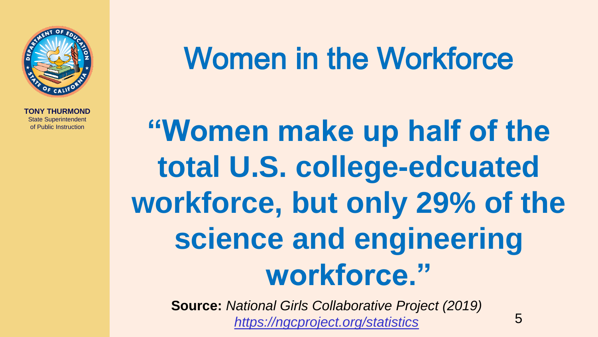

## Women in the Workforce

**"Women make up half of the total U.S. college-edcuated workforce, but only 29% of the science and engineering workforce."**

**Source:** *National Girls Collaborative Project (2019) <https://ngcproject.org/statistics>*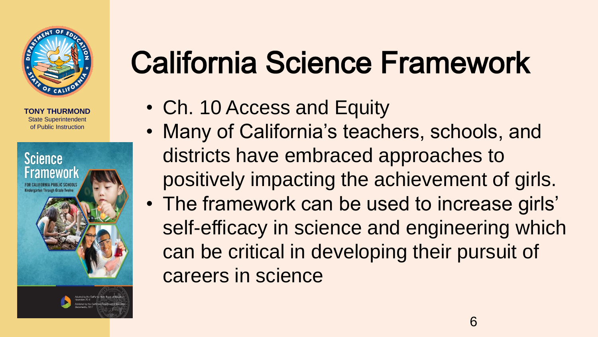



## California Science Framework

- Ch. 10 Access and Equity
- Many of California's teachers, schools, and districts have embraced approaches to positively impacting the achievement of girls.
- The framework can be used to increase girls' self-efficacy in science and engineering which can be critical in developing their pursuit of careers in science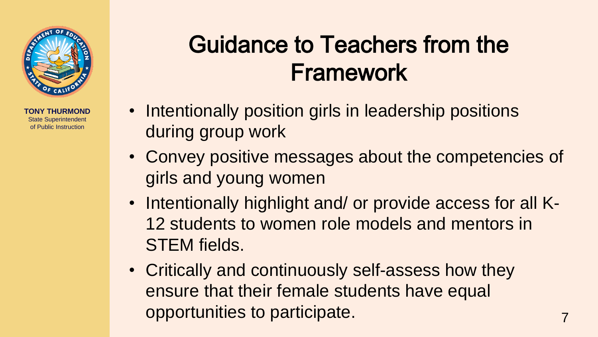

#### Guidance to Teachers from the Framework

- Intentionally position girls in leadership positions during group work
- Convey positive messages about the competencies of girls and young women
- Intentionally highlight and/ or provide access for all K-12 students to women role models and mentors in STEM fields.
- Critically and continuously self-assess how they ensure that their female students have equal opportunities to participate.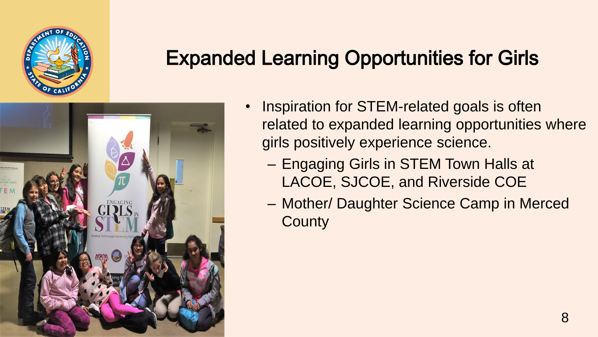

#### Expanded Learning Opportunities for Girls



- Inspiration for STEM-related goals is often related to expanded learning opportunities where girls positively experience science.
	- Engaging Girls in STEM Town Halls at LACOE, SJCOE, and Riverside COE
	- Mother/ Daughter Science Camp in Merced **County**